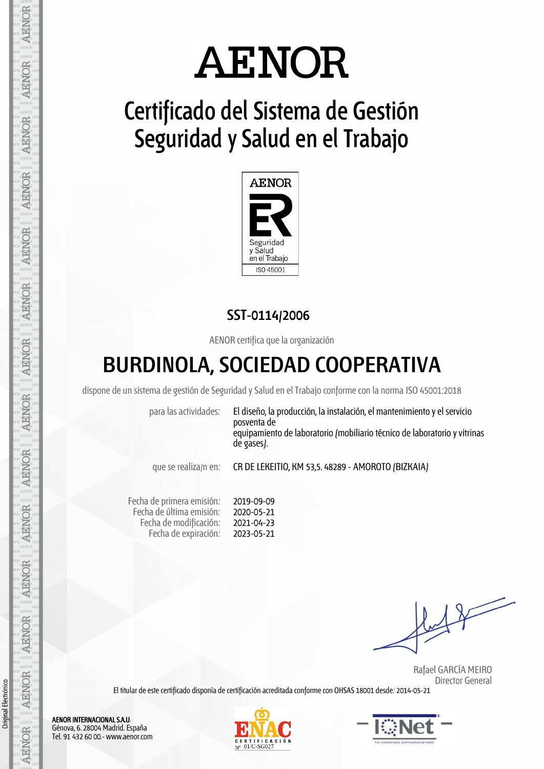# **AENOR**

## **Certificado del Sistema de Gestión Seguridad y Salud en el Trabajo**



## **SST-0114/2006**

AENOR certifica que la organización

## **BURDINOLA, SOCIEDAD COOPERATIVA**

dispone de un sistema de gestión de Seguridad y Salud en elTrabajo conforme con la norma ISO 45001:2018

para las actividades: El diseño, la producción, la instalación, el mantenimiento y el servicio posventa de equipamiento de laboratorio (mobiliario técnico de laboratorio yvitrinas de gases).

que se realiza/n en: CR DE LEKEITIO, KM 53,5. 48289 - AMOROTO (BIZKAIA)

Fecha de primera emisión: Fecha de última emisión: Fecha de modificación: Fecha de expiración: 2019-09-09 2020-05-21 2021-04-23 2023-05-21

 $11$ 

 Rafael GARCÍA MEIRO Director General

El titular de este certificado disponía de certificación acreditada conforme con OHSAS 18001 desde: 2014-05-21

AENOR INTERNACIONAL S.A.U. Génova, 6. 28004 Madrid. España Tel. 91 432 60 00.- www.aenor.com

**AENOR** 

**AENOR** 

**AENOR** 

**AENOR** 

**AENOR** 

**AENOR** 

**ARNOR** 

**AENOR** 

AENOR

**AENOR** 

**AENOR** 

**AENOR** 

**AENOR** 

**AENOR** 

Original Electrónico